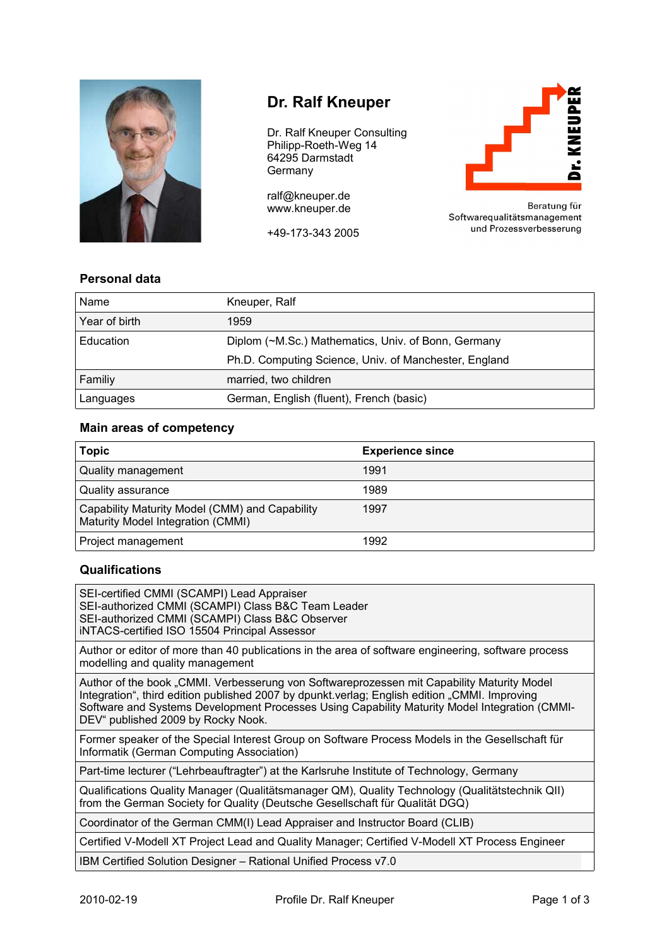

# **Dr. Ralf Kneuper**

Dr. Ralf Kneuper Consulting Philipp-Roeth-Weg 14 64295 Darmstadt Germany

ralf@kneuper.de www.kneuper.de

+49-173-343 2005



Beratung für Softwarequalitätsmanagement und Prozessverbesserung

## **Personal data**

| Name          | Kneuper, Ralf                                         |
|---------------|-------------------------------------------------------|
| Year of birth | 1959                                                  |
| Education     | Diplom (~M.Sc.) Mathematics, Univ. of Bonn, Germany   |
|               | Ph.D. Computing Science, Univ. of Manchester, England |
| Familiy       | married, two children                                 |
| Languages     | German, English (fluent), French (basic)              |

#### **Main areas of competency**

| <b>Topic</b>                                                                        | <b>Experience since</b> |
|-------------------------------------------------------------------------------------|-------------------------|
| Quality management                                                                  | 1991                    |
| Quality assurance                                                                   | 1989                    |
| Capability Maturity Model (CMM) and Capability<br>Maturity Model Integration (CMMI) | 1997                    |
| Project management                                                                  | 1992                    |

### **Qualifications**

SEI-certified CMMI (SCAMPI) Lead Appraiser SEI-authorized CMMI (SCAMPI) Class B&C Team Leader SEI-authorized CMMI (SCAMPI) Class B&C Observer iNTACS-certified ISO 15504 Principal Assessor

Author or editor of more than 40 publications in the area of software engineering, software process modelling and quality management

Author of the book "CMMI. Verbesserung von Softwareprozessen mit Capability Maturity Model Integration", third edition published 2007 by dpunkt.verlag; English edition "CMMI. Improving Software and Systems Development Processes Using Capability Maturity Model Integration (CMMI-DEV" published 2009 by Rocky Nook.

Former speaker of the Special Interest Group on Software Process Models in the Gesellschaft für Informatik (German Computing Association)

Part-time lecturer ("Lehrbeauftragter") at the Karlsruhe Institute of Technology, Germany

Qualifications Quality Manager (Qualitätsmanager QM), Quality Technology (Qualitätstechnik QII) from the German Society for Quality (Deutsche Gesellschaft für Qualität DGQ)

Coordinator of the German CMM(I) Lead Appraiser and Instructor Board (CLIB)

Certified V-Modell XT Project Lead and Quality Manager; Certified V-Modell XT Process Engineer

IBM Certified Solution Designer – Rational Unified Process v7.0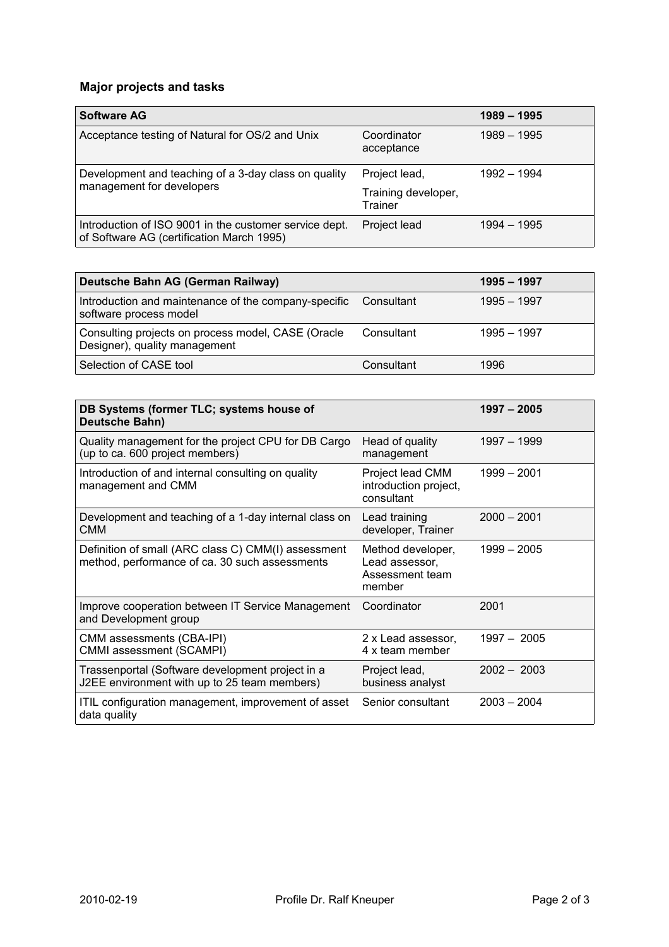# **Major projects and tasks**

| <b>Software AG</b>                                                                                  |                                | $1989 - 1995$ |
|-----------------------------------------------------------------------------------------------------|--------------------------------|---------------|
| Acceptance testing of Natural for OS/2 and Unix                                                     | Coordinator<br>acceptance      | 1989 - 1995   |
| Development and teaching of a 3-day class on quality<br>management for developers                   | Project lead,                  | 1992 - 1994   |
|                                                                                                     | Training developer,<br>Trainer |               |
| Introduction of ISO 9001 in the customer service dept.<br>of Software AG (certification March 1995) | Project lead                   | $1994 - 1995$ |

| Deutsche Bahn AG (German Railway)                                                   |            | $1995 - 1997$ |
|-------------------------------------------------------------------------------------|------------|---------------|
| Introduction and maintenance of the company-specific<br>software process model      | Consultant | $1995 - 1997$ |
| Consulting projects on process model, CASE (Oracle<br>Designer), quality management | Consultant | $1995 - 1997$ |
| Selection of CASE tool                                                              | Consultant | 1996          |

| DB Systems (former TLC; systems house of<br>Deutsche Bahn)                                            |                                                                  | $1997 - 2005$ |
|-------------------------------------------------------------------------------------------------------|------------------------------------------------------------------|---------------|
| Quality management for the project CPU for DB Cargo<br>(up to ca. 600 project members)                | Head of quality<br>management                                    | 1997 - 1999   |
| Introduction of and internal consulting on quality<br>management and CMM                              | Project lead CMM<br>introduction project,<br>consultant          | 1999 - 2001   |
| Development and teaching of a 1-day internal class on<br>CMM                                          | Lead training<br>developer, Trainer                              | $2000 - 2001$ |
| Definition of small (ARC class C) CMM(I) assessment<br>method, performance of ca. 30 such assessments | Method developer,<br>Lead assessor,<br>Assessment team<br>member | $1999 - 2005$ |
| Improve cooperation between IT Service Management<br>and Development group                            | Coordinator                                                      | 2001          |
| CMM assessments (CBA-IPI)<br>CMMI assessment (SCAMPI)                                                 | 2 x Lead assessor,<br>4 x team member                            | $1997 - 2005$ |
| Trassenportal (Software development project in a<br>J2EE environment with up to 25 team members)      | Project lead,<br>business analyst                                | $2002 - 2003$ |
| ITIL configuration management, improvement of asset<br>data quality                                   | Senior consultant                                                | $2003 - 2004$ |